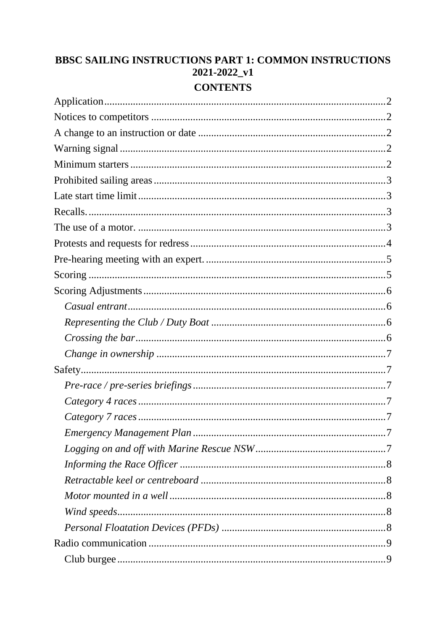# BBSC SAILING INSTRUCTIONS PART 1: COMMON INSTRUCTIONS  $2021 - 2022$ \_v1 **CONTENTS**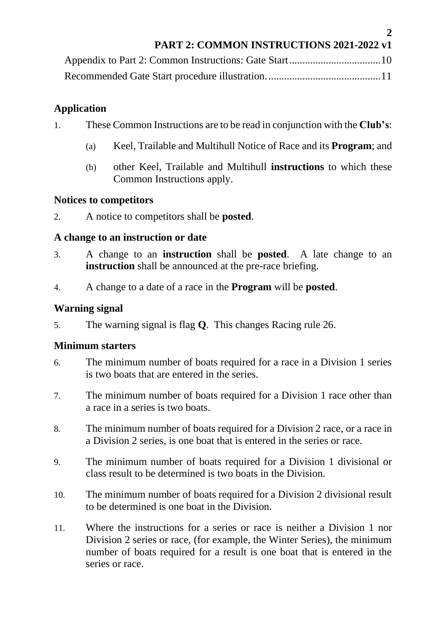|  | <b>PART 2: COMMON INSTRUCTIONS 2021-2022 v1</b> |  |
|--|-------------------------------------------------|--|
|  |                                                 |  |

**2**

# <span id="page-1-0"></span>**Application**

- 1. These Common Instructions are to be read in conjunction with the **Club's**:
	- (a) Keel, Trailable and Multihull Notice of Race and its **Program**; and
	- (b) other Keel, Trailable and Multihull **instructions** to which these Common Instructions apply.

### <span id="page-1-1"></span>**Notices to competitors**

2. A notice to competitors shall be **posted**.

# <span id="page-1-2"></span>**A change to an instruction or date**

- 3. A change to an **instruction** shall be **posted**. A late change to an **instruction** shall be announced at the pre-race briefing.
- 4. A change to a date of a race in the **Program** will be **posted**.

# <span id="page-1-3"></span>**Warning signal**

5. The warning signal is flag **Q**. This changes Racing rule 26.

# <span id="page-1-4"></span>**Minimum starters**

- 6. The minimum number of boats required for a race in a Division 1 series is two boats that are entered in the series.
- 7. The minimum number of boats required for a Division 1 race other than a race in a series is two boats.
- 8. The minimum number of boats required for a Division 2 race, or a race in a Division 2 series, is one boat that is entered in the series or race.
- 9. The minimum number of boats required for a Division 1 divisional or class result to be determined is two boats in the Division.
- 10. The minimum number of boats required for a Division 2 divisional result to be determined is one boat in the Division.
- 11. Where the instructions for a series or race is neither a Division 1 nor Division 2 series or race, (for example, the Winter Series), the minimum number of boats required for a result is one boat that is entered in the series or race.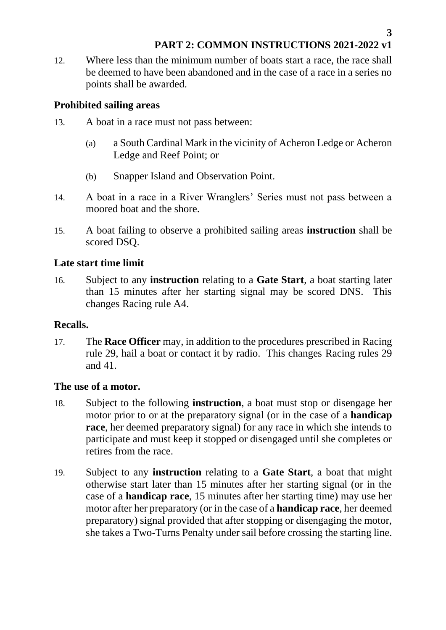12. Where less than the minimum number of boats start a race, the race shall be deemed to have been abandoned and in the case of a race in a series no points shall be awarded.

# <span id="page-2-0"></span>**Prohibited sailing areas**

- 13. A boat in a race must not pass between:
	- (a) a South Cardinal Mark in the vicinity of Acheron Ledge or Acheron Ledge and Reef Point; or
	- (b) Snapper Island and Observation Point.
- 14. A boat in a race in a River Wranglers' Series must not pass between a moored boat and the shore.
- 15. A boat failing to observe a prohibited sailing areas **instruction** shall be scored DSQ.

# <span id="page-2-1"></span>**Late start time limit**

16. Subject to any **instruction** relating to a **Gate Start**, a boat starting later than 15 minutes after her starting signal may be scored DNS. This changes Racing rule A4.

### <span id="page-2-2"></span>**Recalls.**

17. The **Race Officer** may, in addition to the procedures prescribed in Racing rule 29, hail a boat or contact it by radio. This changes Racing rules 29 and 41.

### <span id="page-2-3"></span>**The use of a motor.**

- 18. Subject to the following **instruction**, a boat must stop or disengage her motor prior to or at the preparatory signal (or in the case of a **handicap race**, her deemed preparatory signal) for any race in which she intends to participate and must keep it stopped or disengaged until she completes or retires from the race.
- 19. Subject to any **instruction** relating to a **Gate Start**, a boat that might otherwise start later than 15 minutes after her starting signal (or in the case of a **handicap race**, 15 minutes after her starting time) may use her motor after her preparatory (or in the case of a **handicap race**, her deemed preparatory) signal provided that after stopping or disengaging the motor, she takes a Two-Turns Penalty under sail before crossing the starting line.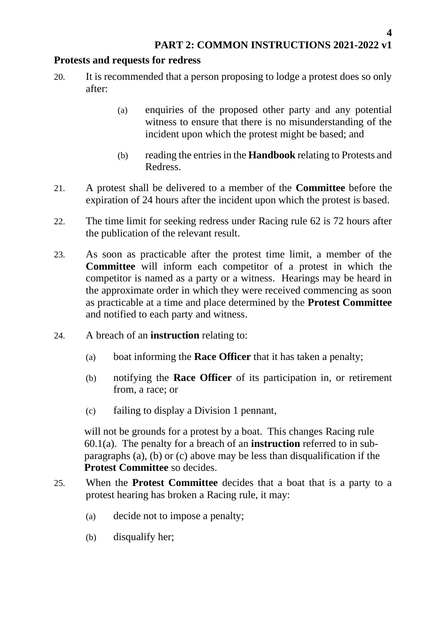# <span id="page-3-0"></span>**Protests and requests for redress**

- 20. It is recommended that a person proposing to lodge a protest does so only after:
	- (a) enquiries of the proposed other party and any potential witness to ensure that there is no misunderstanding of the incident upon which the protest might be based; and
	- (b) reading the entries in the **Handbook** relating to Protests and Redress.
- 21. A protest shall be delivered to a member of the **Committee** before the expiration of 24 hours after the incident upon which the protest is based.
- 22. The time limit for seeking redress under Racing rule 62 is 72 hours after the publication of the relevant result.
- 23. As soon as practicable after the protest time limit, a member of the **Committee** will inform each competitor of a protest in which the competitor is named as a party or a witness. Hearings may be heard in the approximate order in which they were received commencing as soon as practicable at a time and place determined by the **Protest Committee** and notified to each party and witness.
- 24. A breach of an **instruction** relating to:
	- (a) boat informing the **Race Officer** that it has taken a penalty;
	- (b) notifying the **Race Officer** of its participation in, or retirement from, a race; or
	- (c) failing to display a Division 1 pennant,

will not be grounds for a protest by a boat. This changes Racing rule 60.1(a). The penalty for a breach of an **instruction** referred to in subparagraphs (a), (b) or (c) above may be less than disqualification if the **Protest Committee** so decides.

- 25. When the **Protest Committee** decides that a boat that is a party to a protest hearing has broken a Racing rule, it may:
	- (a) decide not to impose a penalty;
	- (b) disqualify her;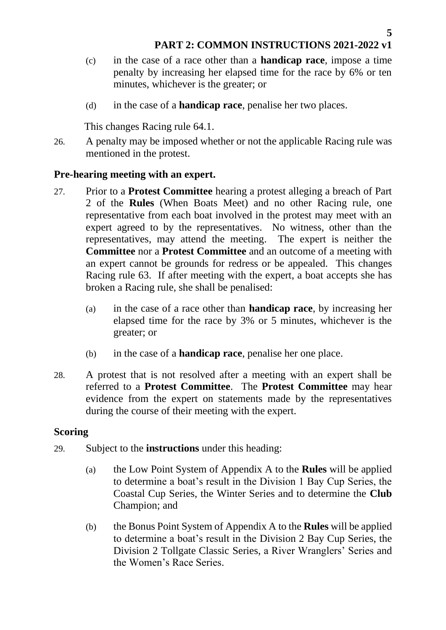- (c) in the case of a race other than a **handicap race**, impose a time penalty by increasing her elapsed time for the race by 6% or ten minutes, whichever is the greater; or
- (d) in the case of a **handicap race**, penalise her two places.

This changes Racing rule 64.1.

26. A penalty may be imposed whether or not the applicable Racing rule was mentioned in the protest.

### <span id="page-4-0"></span>**Pre-hearing meeting with an expert.**

- 27. Prior to a **Protest Committee** hearing a protest alleging a breach of Part 2 of the **Rules** (When Boats Meet) and no other Racing rule, one representative from each boat involved in the protest may meet with an expert agreed to by the representatives. No witness, other than the representatives, may attend the meeting. The expert is neither the **Committee** nor a **Protest Committee** and an outcome of a meeting with an expert cannot be grounds for redress or be appealed. This changes Racing rule 63. If after meeting with the expert, a boat accepts she has broken a Racing rule, she shall be penalised:
	- (a) in the case of a race other than **handicap race**, by increasing her elapsed time for the race by 3% or 5 minutes, whichever is the greater; or
	- (b) in the case of a **handicap race**, penalise her one place.
- 28. A protest that is not resolved after a meeting with an expert shall be referred to a **Protest Committee**. The **Protest Committee** may hear evidence from the expert on statements made by the representatives during the course of their meeting with the expert.

### <span id="page-4-1"></span>**Scoring**

- 29. Subject to the **instructions** under this heading:
	- (a) the Low Point System of Appendix A to the **Rules** will be applied to determine a boat's result in the Division 1 Bay Cup Series, the Coastal Cup Series, the Winter Series and to determine the **Club** Champion; and
	- (b) the Bonus Point System of Appendix A to the **Rules** will be applied to determine a boat's result in the Division 2 Bay Cup Series, the Division 2 Tollgate Classic Series, a River Wranglers' Series and the Women's Race Series.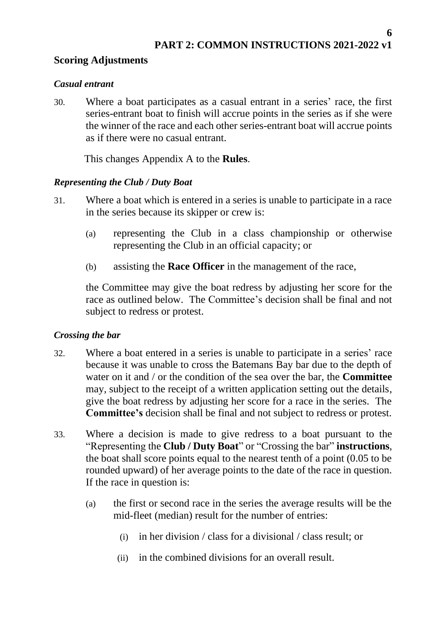### <span id="page-5-0"></span>**Scoring Adjustments**

#### <span id="page-5-1"></span>*Casual entrant*

30. Where a boat participates as a casual entrant in a series' race, the first series-entrant boat to finish will accrue points in the series as if she were the winner of the race and each other series-entrant boat will accrue points as if there were no casual entrant.

This changes Appendix A to the **Rules**.

### <span id="page-5-2"></span>*Representing the Club / Duty Boat*

- 31. Where a boat which is entered in a series is unable to participate in a race in the series because its skipper or crew is:
	- (a) representing the Club in a class championship or otherwise representing the Club in an official capacity; or
	- (b) assisting the **Race Officer** in the management of the race,

the Committee may give the boat redress by adjusting her score for the race as outlined below. The Committee's decision shall be final and not subject to redress or protest.

### <span id="page-5-3"></span>*Crossing the bar*

- 32. Where a boat entered in a series is unable to participate in a series' race because it was unable to cross the Batemans Bay bar due to the depth of water on it and / or the condition of the sea over the bar, the **Committee** may, subject to the receipt of a written application setting out the details, give the boat redress by adjusting her score for a race in the series. The **Committee's** decision shall be final and not subject to redress or protest.
- 33. Where a decision is made to give redress to a boat pursuant to the "Representing the **Club / Duty Boat**" or "Crossing the bar" **instructions**, the boat shall score points equal to the nearest tenth of a point (0.05 to be rounded upward) of her average points to the date of the race in question. If the race in question is:
	- (a) the first or second race in the series the average results will be the mid-fleet (median) result for the number of entries:
		- (i) in her division / class for a divisional / class result; or
		- (ii) in the combined divisions for an overall result.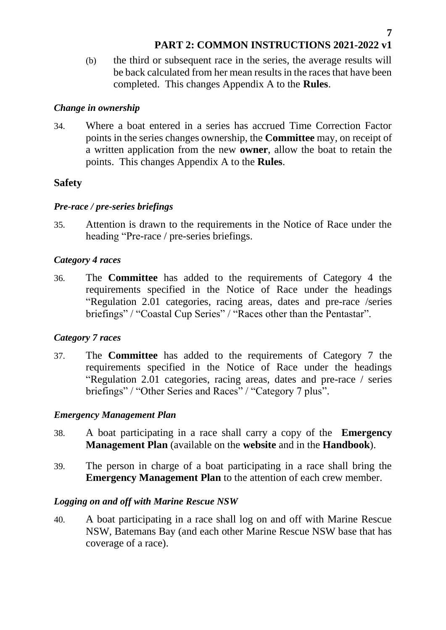(b) the third or subsequent race in the series, the average results will be back calculated from her mean results in the races that have been completed. This changes Appendix A to the **Rules**.

#### <span id="page-6-0"></span>*Change in ownership*

34. Where a boat entered in a series has accrued Time Correction Factor points in the series changes ownership, the **Committee** may, on receipt of a written application from the new **owner**, allow the boat to retain the points. This changes Appendix A to the **Rules**.

### <span id="page-6-1"></span>**Safety**

#### <span id="page-6-2"></span>*Pre-race / pre-series briefings*

35. Attention is drawn to the requirements in the Notice of Race under the heading "Pre-race / pre-series briefings.

### <span id="page-6-3"></span>*Category 4 races*

36. The **Committee** has added to the requirements of Category 4 the requirements specified in the Notice of Race under the headings "Regulation 2.01 categories, racing areas, dates and pre-race /series briefings" / "Coastal Cup Series" / "Races other than the Pentastar".

### <span id="page-6-4"></span>*Category 7 races*

37. The **Committee** has added to the requirements of Category 7 the requirements specified in the Notice of Race under the headings "Regulation 2.01 categories, racing areas, dates and pre-race / series briefings" / "Other Series and Races" / "Category 7 plus".

### <span id="page-6-5"></span>*Emergency Management Plan*

- 38. A boat participating in a race shall carry a copy of the **Emergency Management Plan** (available on the **website** and in the **Handbook**).
- 39. The person in charge of a boat participating in a race shall bring the **Emergency Management Plan** to the attention of each crew member.

#### <span id="page-6-6"></span>*Logging on and off with Marine Rescue NSW*

40. A boat participating in a race shall log on and off with Marine Rescue NSW, Batemans Bay (and each other Marine Rescue NSW base that has coverage of a race).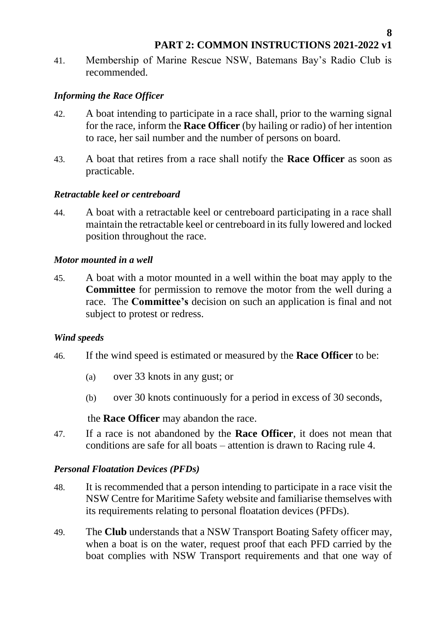**8**

41. Membership of Marine Rescue NSW, Batemans Bay's Radio Club is recommended.

### <span id="page-7-0"></span>*Informing the Race Officer*

- 42. A boat intending to participate in a race shall, prior to the warning signal for the race, inform the **Race Officer** (by hailing or radio) of her intention to race, her sail number and the number of persons on board.
- 43. A boat that retires from a race shall notify the **Race Officer** as soon as practicable.

### <span id="page-7-1"></span>*Retractable keel or centreboard*

44. A boat with a retractable keel or centreboard participating in a race shall maintain the retractable keel or centreboard in its fully lowered and locked position throughout the race.

#### <span id="page-7-2"></span>*Motor mounted in a well*

45. A boat with a motor mounted in a well within the boat may apply to the **Committee** for permission to remove the motor from the well during a race. The **Committee's** decision on such an application is final and not subject to protest or redress.

#### <span id="page-7-3"></span>*Wind speeds*

- 46. If the wind speed is estimated or measured by the **Race Officer** to be:
	- (a) over 33 knots in any gust; or
	- (b) over 30 knots continuously for a period in excess of 30 seconds,

the **Race Officer** may abandon the race.

47. If a race is not abandoned by the **Race Officer**, it does not mean that conditions are safe for all boats – attention is drawn to Racing rule 4.

### <span id="page-7-4"></span>*Personal Floatation Devices (PFDs)*

- 48. It is recommended that a person intending to participate in a race visit the [NSW Centre for Maritime Safety](https://maritimemanagement.transport.nsw.gov.au/lifejackets/lifejacket-law/index.html) website and familiarise themselves with its requirements relating to personal floatation devices (PFDs).
- 49. The **Club** understands that a NSW Transport Boating Safety officer may, when a boat is on the water, request proof that each PFD carried by the boat complies with NSW Transport requirements and that one way of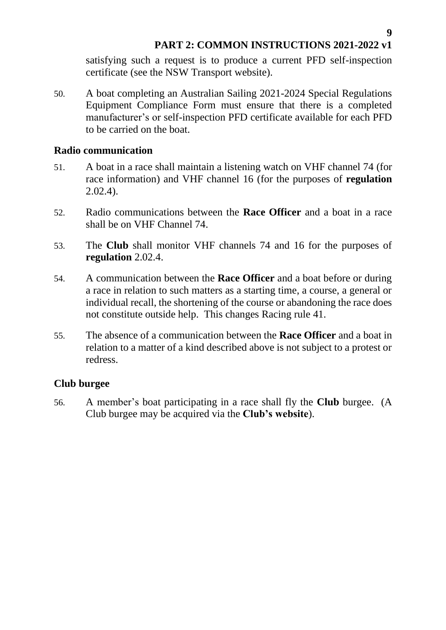**9**

satisfying such a request is to produce a current PFD self-inspection certificate (see the NSW Transport website).

50. A boat completing an Australian Sailing 2021-2024 Special Regulations Equipment Compliance Form must ensure that there is a completed manufacturer's or self-inspection PFD certificate available for each PFD to be carried on the boat.

#### <span id="page-8-0"></span>**Radio communication**

- 51. A boat in a race shall maintain a listening watch on VHF channel 74 (for race information) and VHF channel 16 (for the purposes of **regulation** 2.02.4).
- 52. Radio communications between the **Race Officer** and a boat in a race shall be on VHF Channel 74.
- 53. The **Club** shall monitor VHF channels 74 and 16 for the purposes of **regulation** 2.02.4.
- 54. A communication between the **Race Officer** and a boat before or during a race in relation to such matters as a starting time, a course, a general or individual recall, the shortening of the course or abandoning the race does not constitute outside help. This changes Racing rule 41.
- 55. The absence of a communication between the **Race Officer** and a boat in relation to a matter of a kind described above is not subject to a protest or redress.

### <span id="page-8-1"></span>**Club burgee**

56. A member's boat participating in a race shall fly the **Club** burgee. (A Club burgee may be acquired via the **Club's website**).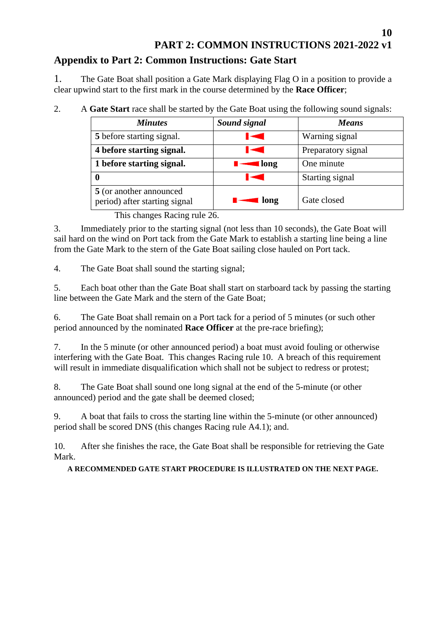# <span id="page-9-0"></span>**Appendix to Part 2: Common Instructions: Gate Start**

1. The Gate Boat shall position a Gate Mark displaying Flag O in a position to provide a clear upwind start to the first mark in the course determined by the **Race Officer**;

2. A **Gate Start** race shall be started by the Gate Boat using the following sound signals:

| <b>Minutes</b>                                           | Sound signal        | <b>Means</b>       |
|----------------------------------------------------------|---------------------|--------------------|
| 5 before starting signal.                                |                     | Warning signal     |
| 4 before starting signal.                                |                     | Preparatory signal |
| 1 before starting signal.                                | $\blacksquare$ long | One minute         |
|                                                          |                     | Starting signal    |
| 5 (or another announced<br>period) after starting signal | $\blacksquare$ long | Gate closed        |

This changes Racing rule 26.

3. Immediately prior to the starting signal (not less than 10 seconds), the Gate Boat will sail hard on the wind on Port tack from the Gate Mark to establish a starting line being a line from the Gate Mark to the stern of the Gate Boat sailing close hauled on Port tack.

4. The Gate Boat shall sound the starting signal;

5. Each boat other than the Gate Boat shall start on starboard tack by passing the starting line between the Gate Mark and the stern of the Gate Boat;

6. The Gate Boat shall remain on a Port tack for a period of 5 minutes (or such other period announced by the nominated **Race Officer** at the pre-race briefing);

7. In the 5 minute (or other announced period) a boat must avoid fouling or otherwise interfering with the Gate Boat. This changes Racing rule 10. A breach of this requirement will result in immediate disqualification which shall not be subject to redress or protest;

8. The Gate Boat shall sound one long signal at the end of the 5-minute (or other announced) period and the gate shall be deemed closed;

9. A boat that fails to cross the starting line within the 5-minute (or other announced) period shall be scored DNS (this changes Racing rule A4.1); and.

10. After she finishes the race, the Gate Boat shall be responsible for retrieving the Gate Mark.

**A RECOMMENDED GATE START PROCEDURE IS ILLUSTRATED ON THE NEXT PAGE.**